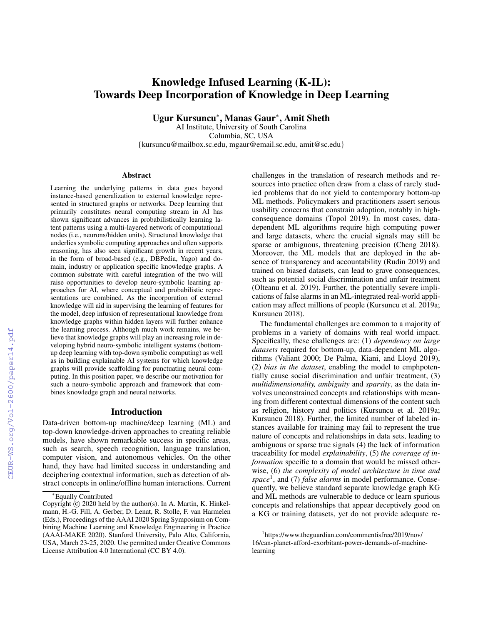# Knowledge Infused Learning (K-IL): Towards Deep Incorporation of Knowledge in Deep Learning

Ugur Kursuncu<sup>∗</sup> , Manas Gaur<sup>∗</sup> , Amit Sheth

AI Institute, University of South Carolina Columbia, SC, USA {kursuncu@mailbox.sc.edu, mgaur@email.sc.edu, amit@sc.edu}

#### Abstract

Learning the underlying patterns in data goes beyond instance-based generalization to external knowledge represented in structured graphs or networks. Deep learning that primarily constitutes neural computing stream in AI has shown significant advances in probabilistically learning latent patterns using a multi-layered network of computational nodes (i.e., neurons/hidden units). Structured knowledge that underlies symbolic computing approaches and often supports reasoning, has also seen significant growth in recent years, in the form of broad-based (e.g., DBPedia, Yago) and domain, industry or application specific knowledge graphs. A common substrate with careful integration of the two will raise opportunities to develop neuro-symbolic learning approaches for AI, where conceptual and probabilistic representations are combined. As the incorporation of external knowledge will aid in supervising the learning of features for the model, deep infusion of representational knowledge from knowledge graphs within hidden layers will further enhance the learning process. Although much work remains, we believe that knowledge graphs will play an increasing role in developing hybrid neuro-symbolic intelligent systems (bottomup deep learning with top-down symbolic computing) as well as in building explainable AI systems for which knowledge graphs will provide scaffolding for punctuating neural computing. In this position paper, we describe our motivation for such a neuro-symbolic approach and framework that combines knowledge graph and neural networks.

## Introduction

Data-driven bottom-up machine/deep learning (ML) and top-down knowledge-driven approaches to creating reliable models, have shown remarkable success in specific areas, such as search, speech recognition, language translation, computer vision, and autonomous vehicles. On the other hand, they have had limited success in understanding and deciphering contextual information, such as detection of abstract concepts in online/offline human interactions. Current challenges in the translation of research methods and resources into practice often draw from a class of rarely studied problems that do not yield to contemporary bottom-up ML methods. Policymakers and practitioners assert serious usability concerns that constrain adoption, notably in highconsequence domains (Topol 2019). In most cases, datadependent ML algorithms require high computing power and large datasets, where the crucial signals may still be sparse or ambiguous, threatening precision (Cheng 2018). Moreover, the ML models that are deployed in the absence of transparency and accountability (Rudin 2019) and trained on biased datasets, can lead to grave consequences, such as potential social discrimination and unfair treatment (Olteanu et al. 2019). Further, the potentially severe implications of false alarms in an ML-integrated real-world application may affect millions of people (Kursuncu et al. 2019a; Kursuncu 2018).

The fundamental challenges are common to a majority of problems in a variety of domains with real world impact. Specifically, these challenges are: (1) *dependency on large datasets* required for bottom-up, data-dependent ML algorithms (Valiant 2000; De Palma, Kiani, and Lloyd 2019), (2) *bias in the dataset*, enabling the model to emphpotentially cause social discrimination and unfair treatment, (3) *multidimensionality, ambiguity* and *sparsity*, as the data involves unconstrained concepts and relationships with meaning from different contextual dimensions of the content such as religion, history and politics (Kursuncu et al. 2019a; Kursuncu 2018). Further, the limited number of labeled instances available for training may fail to represent the true nature of concepts and relationships in data sets, leading to ambiguous or sparse true signals (4) the lack of information traceability for model *explainability*, (5) *the coverage of information* specific to a domain that would be missed otherwise, (6) *the complexity of model architecture in time and space*<sup>1</sup> , and (7) *false alarms* in model performance. Consequently, we believe standard separate knowledge graph KG and ML methods are vulnerable to deduce or learn spurious concepts and relationships that appear deceptively good on a KG or training datasets, yet do not provide adequate re-

<sup>∗</sup>Equally Contributed

Copyright  $\tilde{c}$  2020 held by the author(s). In A. Martin, K. Hinkelmann, H.-G. Fill, A. Gerber, D. Lenat, R. Stolle, F. van Harmelen (Eds.), Proceedings of the AAAI 2020 Spring Symposium on Combining Machine Learning and Knowledge Engineering in Practice (AAAI-MAKE 2020). Stanford University, Palo Alto, California, USA, March 23-25, 2020. Use permitted under Creative Commons License Attribution 4.0 International (CC BY 4.0).

<sup>1</sup> https://www.theguardian.com/commentisfree/2019/nov/ 16/can-planet-afford-exorbitant-power-demands-of-machinelearning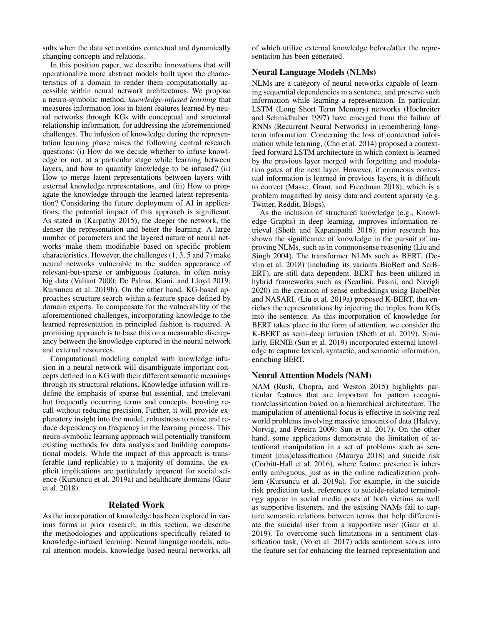sults when the data set contains contextual and dynamically changing concepts and relations.

In this position paper, we describe innovations that will operationalize more abstract models built upon the characteristics of a domain to render them computationally accessible within neural network architectures. We propose a neuro-symbolic method, *knowledge-infused learning* that measures information loss in latent features learned by neural networks through KGs with conceptual and structural relationship information, for addressing the aforementioned challenges. The infusion of knowledge during the representation learning phase raises the following central research questions: (i) How do we decide whether to infuse knowledge or not, at a particular stage while learning between layers, and how to quantify knowledge to be infused? (ii) How to merge latent representations between layers with external knowledge representations, and (iii) How to propagate the knowledge through the learned latent representation? Considering the future deployment of AI in applications, the potential impact of this approach is significant. As stated in (Karpathy 2015), the deeper the network, the denser the representation and better the learning. A large number of parameters and the layered nature of neural networks make them modifiable based on specific problem characteristics. However, the challenges (1, 3, 5 and 7) make neural networks vulnerable to the sudden appearance of relevant-but-sparse or ambiguous features, in often noisy big data (Valiant 2000; De Palma, Kiani, and Lloyd 2019; Kursuncu et al. 2019b). On the other hand, KG-based approaches structure search within a feature space defined by domain experts. To compensate for the vulnerability of the aforementioned challenges, incorporating knowledge to the learned representation in principled fashion is required. A promising approach is to base this on a measurable discrepancy between the knowledge captured in the neural network and external resources.

Computational modeling coupled with knowledge infusion in a neural network will disambiguate important concepts defined in a KG with their different semantic meanings through its structural relations. Knowledge infusion will redefine the emphasis of sparse but essential, and irrelevant but frequently occurring terms and concepts, boosting recall without reducing precision. Further, it will provide explanatory insight into the model, robustness to noise and reduce dependency on frequency in the learning process. This neuro-symbolic learning approach will potentially transform existing methods for data analysis and building computational models. While the impact of this approach is transferable (and replicable) to a majority of domains, the explicit implications are particularly apparent for social science (Kursuncu et al. 2019a) and healthcare domains (Gaur et al. 2018).

# Related Work

As the incorporation of knowledge has been explored in various forms in prior research, in this section, we describe the methodologies and applications specifically related to knowledge-infused learning: Neural language models, neural attention models, knowledge based neural networks, all of which utilize external knowledge before/after the representation has been generated.

#### Neural Language Models (NLMs)

NLMs are a category of neural networks capable of learning sequential dependencies in a sentence, and preserve such information while learning a representation. In particular, LSTM (Long Short Term Memory) networks (Hochreiter and Schmidhuber 1997) have emerged from the failure of RNNs (Recurrent Neural Networks) in remembering longterm information. Concerning the loss of contextual information while learning, (Cho et al. 2014) proposed a contextfeed forward LSTM architecture in which context is learned by the previous layer merged with forgetting and modulation gates of the next layer. However, if erroneous contextual information is learned in previous layers, it is difficult to correct (Masse, Grant, and Freedman 2018), which is a problem magnified by noisy data and content sparsity (e.g. Twitter, Reddit, Blogs).

As the inclusion of structured knowledge (e.g., Knowledge Graphs) in deep learning, improves information retrieval (Sheth and Kapanipathi 2016), prior research has shown the significance of knowledge in the pursuit of improving NLMs, such as in commonsense reasoning (Liu and Singh 2004). The transformer NLMs such as BERT, (Devlin et al. 2018) (including its variants BioBert and SciB-ERT), are still data dependent. BERT has been utilized in hybrid frameworks such as (Scarlini, Pasini, and Navigli 2020) in the creation of sense embeddings using BabelNet and NASARI. (Liu et al. 2019a) proposed K-BERT, that enriches the representations by injecting the triples from KGs into the sentence. As this incorporation of knowledge for BERT takes place in the form of attention, we consider the K-BERT as semi-deep infusion (Sheth et al. 2019). Similarly, ERNIE (Sun et al. 2019) incorporated external knowledge to capture lexical, syntactic, and semantic information, enriching BERT.

#### Neural Attention Models (NAM)

NAM (Rush, Chopra, and Weston 2015) highlights particular features that are important for pattern recognition/classification based on a hierarchical architecture. The manipulation of attentional focus is effective in solving real world problems involving massive amounts of data (Halevy, Norvig, and Pereira 2009; Sun et al. 2017). On the other hand, some applications demonstrate the limitation of attentional manipulation in a set of problems such as sentiment (mis)classification (Maurya 2018) and suicide risk (Corbitt-Hall et al. 2016), where feature presence is inherently ambiguous, just as in the online radicalization problem (Kursuncu et al. 2019a). For example, in the suicide risk prediction task, references to suicide-related terminology appear in social media posts of both victims as well as supportive listeners, and the existing NAMs fail to capture semantic relations between terms that help differentiate the suicidal user from a supportive user (Gaur et al. 2019). To overcome such limitations in a sentiment classification task, (Vo et al. 2017) adds sentiment scores into the feature set for enhancing the learned representation and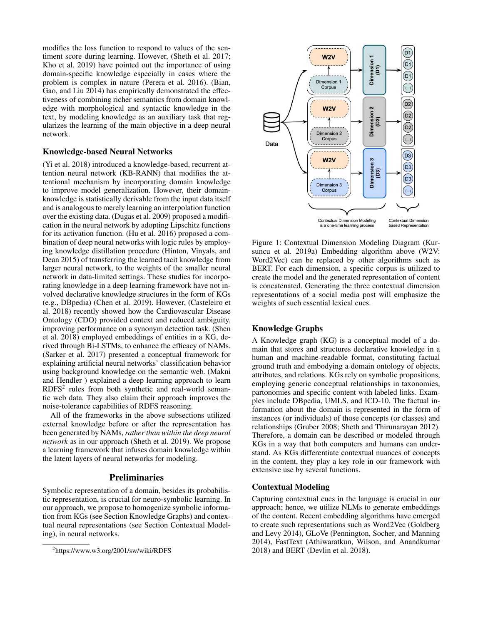modifies the loss function to respond to values of the sentiment score during learning. However, (Sheth et al. 2017; Kho et al. 2019) have pointed out the importance of using domain-specific knowledge especially in cases where the problem is complex in nature (Perera et al. 2016). (Bian, Gao, and Liu 2014) has empirically demonstrated the effectiveness of combining richer semantics from domain knowledge with morphological and syntactic knowledge in the text, by modeling knowledge as an auxiliary task that regularizes the learning of the main objective in a deep neural network.

# Knowledge-based Neural Networks

(Yi et al. 2018) introduced a knowledge-based, recurrent attention neural network (KB-RANN) that modifies the attentional mechanism by incorporating domain knowledge to improve model generalization. However, their domainknowledge is statistically derivable from the input data itself and is analogous to merely learning an interpolation function over the existing data. (Dugas et al. 2009) proposed a modification in the neural network by adopting Lipschitz functions for its activation function. (Hu et al. 2016) proposed a combination of deep neural networks with logic rules by employing knowledge distillation procedure (Hinton, Vinyals, and Dean 2015) of transferring the learned tacit knowledge from larger neural network, to the weights of the smaller neural network in data-limited settings. These studies for incorporating knowledge in a deep learning framework have not involved declarative knowledge structures in the form of KGs (e.g., DBpedia) (Chen et al. 2019). However, (Casteleiro et al. 2018) recently showed how the Cardiovascular Disease Ontology (CDO) provided context and reduced ambiguity, improving performance on a synonym detection task. (Shen et al. 2018) employed embeddings of entities in a KG, derived through Bi-LSTMs, to enhance the efficacy of NAMs. (Sarker et al. 2017) presented a conceptual framework for explaining artificial neural networks' classification behavior using background knowledge on the semantic web. (Makni and Hendler ) explained a deep learning approach to learn RDFS<sup>2</sup> rules from both synthetic and real-world semantic web data. They also claim their approach improves the noise-tolerance capabilities of RDFS reasoning.

All of the frameworks in the above subsections utilized external knowledge before or after the representation has been generated by NAMs, *rather than within the deep neural network* as in our approach (Sheth et al. 2019). We propose a learning framework that infuses domain knowledge within the latent layers of neural networks for modeling.

#### **Preliminaries**

Symbolic representation of a domain, besides its probabilistic representation, is crucial for neuro-symbolic learning. In our approach, we propose to homogenize symbolic information from KGs (see Section Knowledge Graphs) and contextual neural representations (see Section Contextual Modeling), in neural networks.



Figure 1: Contextual Dimension Modeling Diagram (Kursuncu et al. 2019a) Embedding algorithm above (W2V: Word2Vec) can be replaced by other algorithms such as BERT. For each dimension, a specific corpus is utilized to create the model and the generated representation of content is concatenated. Generating the three contextual dimension representations of a social media post will emphasize the weights of such essential lexical cues.

# Knowledge Graphs

A Knowledge graph (KG) is a conceptual model of a domain that stores and structures declarative knowledge in a human and machine-readable format, constituting factual ground truth and embodying a domain ontology of objects, attributes, and relations. KGs rely on symbolic propositions, employing generic conceptual relationships in taxonomies, partonomies and specific content with labeled links. Examples include DBpedia, UMLS, and ICD-10. The factual information about the domain is represented in the form of instances (or individuals) of those concepts (or classes) and relationships (Gruber 2008; Sheth and Thirunarayan 2012). Therefore, a domain can be described or modeled through KGs in a way that both computers and humans can understand. As KGs differentiate contextual nuances of concepts in the content, they play a key role in our framework with extensive use by several functions.

#### Contextual Modeling

Capturing contextual cues in the language is crucial in our approach; hence, we utilize NLMs to generate embeddings of the content. Recent embedding algorithms have emerged to create such representations such as Word2Vec (Goldberg and Levy 2014), GLoVe (Pennington, Socher, and Manning 2014), FastText (Athiwaratkun, Wilson, and Anandkumar 2018) and BERT (Devlin et al. 2018).

<sup>2</sup> https://www.w3.org/2001/sw/wiki/RDFS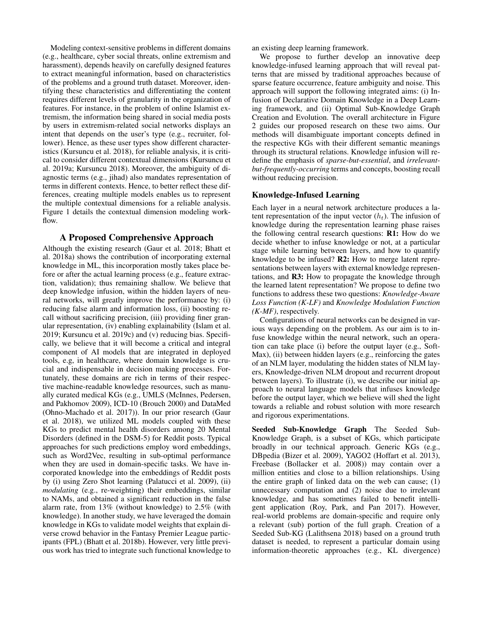Modeling context-sensitive problems in different domains (e.g., healthcare, cyber social threats, online extremism and harassment), depends heavily on carefully designed features to extract meaningful information, based on characteristics of the problems and a ground truth dataset. Moreover, identifying these characteristics and differentiating the content requires different levels of granularity in the organization of features. For instance, in the problem of online Islamist extremism, the information being shared in social media posts by users in extremism-related social networks displays an intent that depends on the user's type (e.g., recruiter, follower). Hence, as these user types show different characteristics (Kursuncu et al. 2018), for reliable analysis, it is critical to consider different contextual dimensions (Kursuncu et al. 2019a; Kursuncu 2018). Moreover, the ambiguity of diagnostic terms (e.g., jihad) also mandates representation of terms in different contexts. Hence, to better reflect these differences, creating multiple models enables us to represent the multiple contextual dimensions for a reliable analysis. Figure 1 details the contextual dimension modeling workflow.

# A Proposed Comprehensive Approach

Although the existing research (Gaur et al. 2018; Bhatt et al. 2018a) shows the contribution of incorporating external knowledge in ML, this incorporation mostly takes place before or after the actual learning process (e.g., feature extraction, validation); thus remaining shallow. We believe that deep knowledge infusion, within the hidden layers of neural networks, will greatly improve the performance by: (i) reducing false alarm and information loss, (ii) boosting recall without sacrificing precision, (iii) providing finer granular representation, (iv) enabling explainability (Islam et al. 2019; Kursuncu et al. 2019c) and (v) reducing bias. Specifically, we believe that it will become a critical and integral component of AI models that are integrated in deployed tools, e.g, in healthcare, where domain knowledge is crucial and indispensable in decision making processes. Fortunately, these domains are rich in terms of their respective machine-readable knowledge resources, such as manually curated medical KGs (e.g., UMLS (McInnes, Pedersen, and Pakhomov 2009), ICD-10 (Brouch 2000) and DataMed (Ohno-Machado et al. 2017)). In our prior research (Gaur et al. 2018), we utilized ML models coupled with these KGs to predict mental health disorders among 20 Mental Disorders (defined in the DSM-5) for Reddit posts. Typical approaches for such predictions employ word embeddings, such as Word2Vec, resulting in sub-optimal performance when they are used in domain-specific tasks. We have incorporated knowledge into the embeddings of Reddit posts by (i) using Zero Shot learning (Palatucci et al. 2009), (ii) *modulating* (e.g., re-weighting) their embeddings, similar to NAMs, and obtained a significant reduction in the false alarm rate, from 13% (without knowledge) to 2.5% (with knowledge). In another study, we have leveraged the domain knowledge in KGs to validate model weights that explain diverse crowd behavior in the Fantasy Premier League participants (FPL) (Bhatt et al. 2018b). However, very little previous work has tried to integrate such functional knowledge to an existing deep learning framework.

We propose to further develop an innovative deep knowledge-infused learning approach that will reveal patterns that are missed by traditional approaches because of sparse feature occurrence, feature ambiguity and noise. This approach will support the following integrated aims: (i) Infusion of Declarative Domain Knowledge in a Deep Learning framework, and (ii) Optimal Sub-Knowledge Graph Creation and Evolution. The overall architecture in Figure 2 guides our proposed research on these two aims. Our methods will disambiguate important concepts defined in the respective KGs with their different semantic meanings through its structural relations. Knowledge infusion will redefine the emphasis of *sparse-but-essential*, and *irrelevantbut-frequently-occurring* terms and concepts, boosting recall without reducing precision.

# Knowledge-Infused Learning

Each layer in a neural network architecture produces a latent representation of the input vector  $(h_t)$ . The infusion of knowledge during the representation learning phase raises the following central research questions: R1: How do we decide whether to infuse knowledge or not, at a particular stage while learning between layers, and how to quantify knowledge to be infused? R2: How to merge latent representations between layers with external knowledge representations, and R3: How to propagate the knowledge through the learned latent representation? We propose to define two functions to address these two questions: *Knowledge-Aware Loss Function (K-LF)* and *Knowledge Modulation Function (K-MF)*, respectively.

Configurations of neural networks can be designed in various ways depending on the problem. As our aim is to infuse knowledge within the neural network, such an operation can take place (i) before the output layer (e.g., Soft-Max), (ii) between hidden layers (e.g., reinforcing the gates of an NLM layer, modulating the hidden states of NLM layers, Knowledge-driven NLM dropout and recurrent dropout between layers). To illustrate (i), we describe our initial approach to neural language models that infuses knowledge before the output layer, which we believe will shed the light towards a reliable and robust solution with more research and rigorous experimentations.

Seeded Sub-Knowledge Graph The Seeded Sub-Knowledge Graph, is a subset of KGs, which participate broadly in our technical approach. Generic KGs (e.g., DBpedia (Bizer et al. 2009), YAGO2 (Hoffart et al. 2013), Freebase (Bollacker et al. 2008)) may contain over a million entities and close to a billion relationships. Using the entire graph of linked data on the web can cause; (1) unnecessary computation and (2) noise due to irrelevant knowledge, and has sometimes failed to benefit intelligent application (Roy, Park, and Pan 2017). However, real-world problems are domain-specific and require only a relevant (sub) portion of the full graph. Creation of a Seeded Sub-KG (Lalithsena 2018) based on a ground truth dataset is needed, to represent a particular domain using information-theoretic approaches (e.g., KL divergence)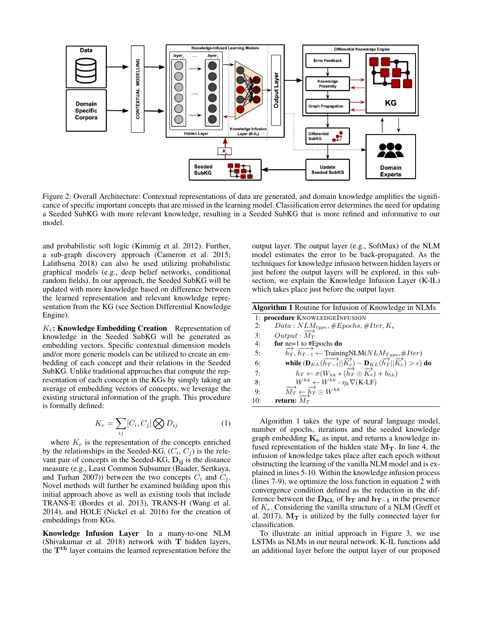

Figure 2: Overall Architecture: Contextual representations of data are generated, and domain knowledge amplifies the significance of specific important concepts that are missed in the learning model. Classification error determines the need for updating a Seeded SubKG with more relevant knowledge, resulting in a Seeded SubKG that is more refined and informative to our model.

and probabilistic soft logic (Kimmig et al. 2012). Further, a sub-graph discovery approach (Cameron et al. 2015; Lalithsena 2018) can also be used utilizing probabilistic graphical models (e.g., deep belief networks, conditional random fields). In our approach, the Seeded SubKG will be updated with more knowledge based on difference between the learned representation and relevant knowledge representation from the KG (see Section Differential Knowledge Engine).

 $K_e$ : Knowledge Embedding Creation Representation of knowledge in the Seeded SubKG will be generated as embedding vectors. Specific contextual dimension models and/or more generic models can be utilized to create an embedding of each concept and their relations in the Seeded SubKG. Unlike traditional approaches that compute the representation of each concept in the KGs by simply taking an average of embedding vectors of concepts, we leverage the existing structural information of the graph. This procedure is formally defined:

$$
K_e = \sum_{ij} [C_i, C_j] \bigotimes D_{ij} \tag{1}
$$

where  $K_e$  is the representation of the concepts enriched by the relationships in the Seeded-KG,  $(C_i, C_j)$  is the relevant pair of concepts in the Seeded-KG,  $D_{ii}$  is the distance measure (e.g., Least Common Subsumer (Baader, Sertkaya, and Turhan 2007)) between the two concepts  $C_i$  and  $C_j$ . Novel methods will further be examined building upon this initial approach above as well as existing tools that include TRANS-E (Bordes et al. 2013), TRANS-H (Wang et al. 2014), and HOLE (Nickel et al. 2016) for the creation of embeddings from KGs.

Knowledge Infusion Layer In a many-to-one NLM (Shivakumar et al. 2018) network with T hidden layers, the T<sup>th</sup> layer contains the learned representation before the

output layer. The output layer (e.g., SoftMax) of the NLM model estimates the error to be back-propagated. As the techniques for knowledge infusion between hidden layers or just before the output layers will be explored, in this subsection, we explain the Knowledge Infusion Layer (K-IL) which takes place just before the output layer.

| <b>Algorithm 1</b> Routine for Infusion of Knowledge in NLMs |                                                                                                                                                                                                                                                                                                                                                                                          |
|--------------------------------------------------------------|------------------------------------------------------------------------------------------------------------------------------------------------------------------------------------------------------------------------------------------------------------------------------------------------------------------------------------------------------------------------------------------|
|                                                              | 1: procedure KNOWLEDGEINFUSION                                                                                                                                                                                                                                                                                                                                                           |
| 2:                                                           | $Data: NLM_{type}, \#Epochs, \#Iter, K_e$                                                                                                                                                                                                                                                                                                                                                |
| 3:                                                           | $Output: M_T$                                                                                                                                                                                                                                                                                                                                                                            |
| 4:                                                           | for $ne=1$ to #Epochs do                                                                                                                                                                                                                                                                                                                                                                 |
| 5:                                                           | $\overrightarrow{h_T}, \overrightarrow{h_{T-1}} \leftarrow$ Training NLM( $NLM_{Type, \#}$ Iter)                                                                                                                                                                                                                                                                                         |
| 6:                                                           | while $(\mathbf{D}_{KL}(\overrightarrow{h_{T-1}}  \overrightarrow{K_e}) - \mathbf{D}_{KL}(\overrightarrow{h_T}  \overrightarrow{K_e}) > \epsilon)$ do<br>$h_T \leftarrow \sigma(W_{hk} * (\overrightarrow{h_T} \oplus \overrightarrow{K_e}) + b_{hk})$<br>$W^{hk} \leftarrow W^{hk} - \eta_k \nabla(\text{K-LF})$<br>$\overrightarrow{M_T} \leftarrow \overrightarrow{h_T} \odot W^{hk}$ |
| 7:                                                           |                                                                                                                                                                                                                                                                                                                                                                                          |
| 8:                                                           |                                                                                                                                                                                                                                                                                                                                                                                          |
| 9:                                                           |                                                                                                                                                                                                                                                                                                                                                                                          |
| 10:                                                          | return: $\overline{M_T}$                                                                                                                                                                                                                                                                                                                                                                 |

Algorithm 1 takes the type of neural language model, number of epochs, iterations and the seeded knowledge graph embedding  $K_e$  as input, and returns a knowledge infused representation of the hidden state  $M_T$ . In line 4, the infusion of knowledge takes place after each epoch without obstructing the learning of the vanilla NLM model and is explained in lines 5-10. Within the knowledge infusion process (lines 7-9), we optimize the loss function in equation 2 with convergence condition defined as the reduction in the difference between the  $D_{KL}$  of  $h_T$  and  $h_{T-1}$  in the presence of  $K_e$ . Considering the vanilla structure of a NLM (Greff et al. 2017),  $M_T$  is utilized by the fully connected layer for classification.

To illustrate an initial approach in Figure 3, we use LSTMs as NLMs in our neural network. K-IL functions add an additional layer before the output layer of our proposed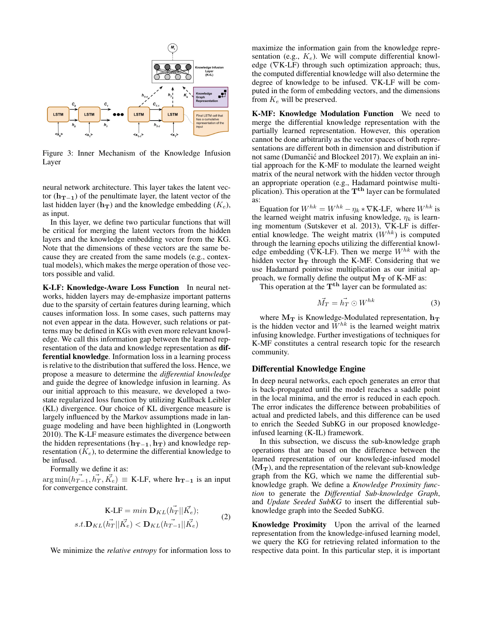

Figure 3: Inner Mechanism of the Knowledge Infusion Layer

neural network architecture. This layer takes the latent vector ( $h_{T-1}$ ) of the penultimate layer, the latent vector of the last hidden layer ( $h_T$ ) and the knowledge embedding ( $K_e$ ), as input.

In this layer, we define two particular functions that will be critical for merging the latent vectors from the hidden layers and the knowledge embedding vector from the KG. Note that the dimensions of these vectors are the same because they are created from the same models (e.g., contextual models), which makes the merge operation of those vectors possible and valid.

K-LF: Knowledge-Aware Loss Function In neural networks, hidden layers may de-emphasize important patterns due to the sparsity of certain features during learning, which causes information loss. In some cases, such patterns may not even appear in the data. However, such relations or patterns may be defined in KGs with even more relevant knowledge. We call this information gap between the learned representation of the data and knowledge representation as differential knowledge. Information loss in a learning process is relative to the distribution that suffered the loss. Hence, we propose a measure to determine the *differential knowledge* and guide the degree of knowledge infusion in learning. As our initial approach to this measure, we developed a twostate regularized loss function by utilizing Kullback Leibler (KL) divergence. Our choice of KL divergence measure is largely influenced by the Markov assumptions made in language modeling and have been highlighted in (Longworth 2010). The K-LF measure estimates the divergence between the hidden representations ( $h_{T-1}, h_T$ ) and knowledge representation  $(K_e)$ , to determine the differential knowledge to be infused.

Formally we define it as:

 $\arg \min(\vec{h_{T-1}}, \vec{h_T}, \vec{K_e}) \equiv \text{K-LF}$ , where  $\mathbf{h_{T-1}}$  is an input for convergence constraint.

$$
\mathbf{K}\text{-LF} = \min \mathbf{D}_{KL}(\vec{h_T}||\vec{K_e});
$$
  
s.t.  $\mathbf{D}_{KL}(\vec{h_T}||\vec{K_e}) < \mathbf{D}_{KL}(h_{T-1}||\vec{K_e})$  (2)

We minimize the *relative entropy* for information loss to

maximize the information gain from the knowledge representation (e.g.,  $K_e$ ). We will compute differential knowledge ( $∇$ K-LF) through such optimization approach; thus, the computed differential knowledge will also determine the degree of knowledge to be infused. ∇K-LF will be computed in the form of embedding vectors, and the dimensions from  $K_e$  will be preserved.

K-MF: Knowledge Modulation Function We need to merge the differential knowledge representation with the partially learned representation. However, this operation cannot be done arbitrarily as the vector spaces of both representations are different both in dimension and distribution if not same (Dumančić and Blockeel 2017). We explain an initial approach for the K-MF to modulate the learned weight matrix of the neural network with the hidden vector through an appropriate operation (e.g., Hadamard pointwise multiplication). This operation at the  $T<sup>th</sup>$  layer can be formulated as:

Equation for  $W^{hk} = W^{hk} - \eta_k * \nabla K$ -LF, where  $W^{hk}$  is the learned weight matrix infusing knowledge,  $\eta_k$  is learning momentum (Sutskever et al. 2013), ∇K-LF is differential knowledge. The weight matrix  $(W^{hk})$  is computed through the learning epochs utilizing the differential knowledge embedding ( $\nabla K$ -LF). Then we merge  $W^{hk}$  with the hidden vector  $h_T$  through the K-MF. Considering that we use Hadamard pointwise multiplication as our initial approach, we formally define the output  $M_T$  of K-MF as:

This operation at the  $T<sup>th</sup>$  layer can be formulated as:

$$
\vec{M_T} = \vec{h_T} \odot W^{hk} \tag{3}
$$

where  $M_T$  is Knowledge-Modulated representation,  $h_T$ is the hidden vector and  $\tilde{W}^{hk}$  is the learned weight matrix infusing knowledge. Further investigations of techniques for K-MF constitutes a central research topic for the research community.

#### Differential Knowledge Engine

In deep neural networks, each epoch generates an error that is back-propagated until the model reaches a saddle point in the local minima, and the error is reduced in each epoch. The error indicates the difference between probabilities of actual and predicted labels, and this difference can be used to enrich the Seeded SubKG in our proposed knowledgeinfused learning (K-IL) framework.

In this subsection, we discuss the sub-knowledge graph operations that are based on the difference between the learned representation of our knowledge-infused model  $(M_T)$ , and the representation of the relevant sub-knowledge graph from the KG, which we name the differential subknowledge graph. We define a *Knowledge Proximity function* to generate the *Differential Sub-knowledge Graph*, and *Update Seeded SubKG* to insert the differential subknowledge graph into the Seeded SubKG.

Knowledge Proximity Upon the arrival of the learned representation from the knowledge-infused learning model, we query the KG for retrieving related information to the respective data point. In this particular step, it is important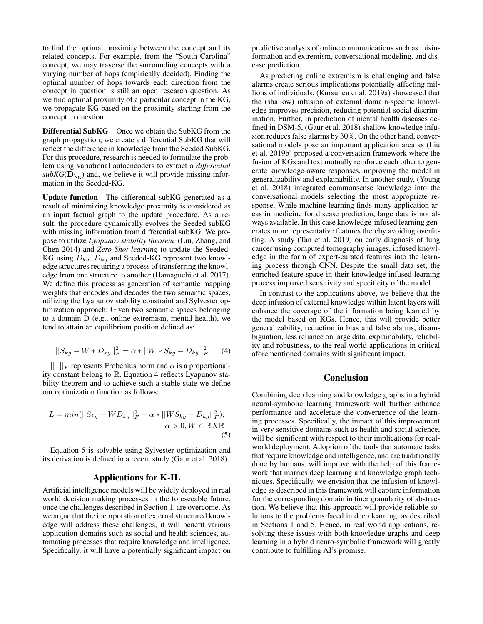to find the optimal proximity between the concept and its related concepts. For example, from the "South Carolina" concept, we may traverse the surrounding concepts with a varying number of hops (empirically decided). Finding the optimal number of hops towards each direction from the concept in question is still an open research question. As we find optimal proximity of a particular concept in the KG, we propagate KG based on the proximity starting from the concept in question.

Differential SubKG Once we obtain the SubKG from the graph propagation, we create a differential SubKG that will reflect the difference in knowledge from the Seeded SubKG. For this procedure, research is needed to formulate the problem using variational autoencoders to extract a *differential*  $subKG(D_{kg})$  and, we believe it will provide missing information in the Seeded-KG.

Update function The differential subKG generated as a result of minimizing knowledge proximity is considered as an input factual graph to the update procedure. As a result, the procedure dynamically evolves the Seeded subKG with missing information from differential subKG. We propose to utilize *Lyapunov stability theorem* (Liu, Zhang, and Chen 2014) and *Zero Shot learning* to update the Seeded-KG using  $D_{kg}$ .  $D_{kg}$  and Seeded-KG represent two knowledge structures requiring a process of transferring the knowledge from one structure to another (Hamaguchi et al. 2017). We define this process as generation of semantic mapping weights that encodes and decodes the two semantic spaces, utilizing the Lyapunov stability constraint and Sylvester optimization approach: Given two semantic spaces belonging to a domain D (e.g., online extremism, mental health), we tend to attain an equilibrium position defined as:

$$
||S_{kg} - W * D_{kg}||_F^2 = \alpha * ||W * S_{kg} - D_{kg}||_F^2 \qquad (4)
$$

 $||$ .  $||_F$  represents Frobenius norm and  $\alpha$  is a proportionality constant belong to R. Equation 4 reflects Lyapunov stability theorem and to achieve such a stable state we define our optimization function as follows:

$$
L = min(||S_{kg} - WD_{kg}||_F^2 - \alpha * ||WS_{kg} - D_{kg}||_F^2),
$$
  
\n
$$
\alpha > 0, W \in \mathbb{R}X\mathbb{R}
$$
\n(5)

Equation 5 is solvable using Sylvester optimization and its derivation is defined in a recent study (Gaur et al. 2018).

## Applications for K-IL

Artificial intelligence models will be widely deployed in real world decision making processes in the foreseeable future, once the challenges described in Section 1, are overcome. As we argue that the incorporation of external structured knowledge will address these challenges, it will benefit various application domains such as social and health sciences, automating processes that require knowledge and intelligence. Specifically, it will have a potentially significant impact on predictive analysis of online communications such as misinformation and extremism, conversational modeling, and disease prediction.

As predicting online extremism is challenging and false alarms create serious implications potentially affecting millions of individuals, (Kursuncu et al. 2019a) showcased that the (shallow) infusion of external domain-specific knowledge improves precision, reducing potential social discrimination. Further, in prediction of mental health diseases defined in DSM-5, (Gaur et al. 2018) shallow knowledge infusion reduces false alarms by 30%. On the other hand, conversational models pose an important application area as (Liu et al. 2019b) proposed a conversation framework where the fusion of KGs and text mutually reinforce each other to generate knowledge-aware responses, improving the model in generalizability and explainability. In another study, (Young et al. 2018) integrated commonsense knowledge into the conversational models selecting the most appropriate response. While machine learning finds many application areas in medicine for disease prediction, large data is not always available. In this case knowledge-infused learning generates more representative features thereby avoiding overfitting. A study (Tan et al. 2019) on early diagnosis of lung cancer using computed tomography images, infused knowledge in the form of expert-curated features into the learning process through CNN. Despite the small data set, the enriched feature space in their knowledge-infused learning process improved sensitivity and specificity of the model.

In contrast to the applications above, we believe that the deep infusion of external knowledge within latent layers will enhance the coverage of the information being learned by the model based on KGs. Hence, this will provide better generalizability, reduction in bias and false alarms, disambiguation, less reliance on large data, explainability, reliability and robustness, to the real world applications in critical aforementioned domains with significant impact.

## Conclusion

Combining deep learning and knowledge graphs in a hybrid neural-symbolic learning framework will further enhance performance and accelerate the convergence of the learning processes. Specifically, the impact of this improvement in very sensitive domains such as health and social science, will be significant with respect to their implications for realworld deployment. Adoption of the tools that automate tasks that require knowledge and intelligence, and are traditionally done by humans, will improve with the help of this framework that marries deep learning and knowledge graph techniques. Specifically, we envision that the infusion of knowledge as described in this framework will capture information for the corresponding domain in finer granularity of abstraction. We believe that this approach will provide reliable solutions to the problems faced in deep learning, as described in Sections 1 and 5. Hence, in real world applications, resolving these issues with both knowledge graphs and deep learning in a hybrid neuro-symbolic framework will greatly contribute to fulfilling AI's promise.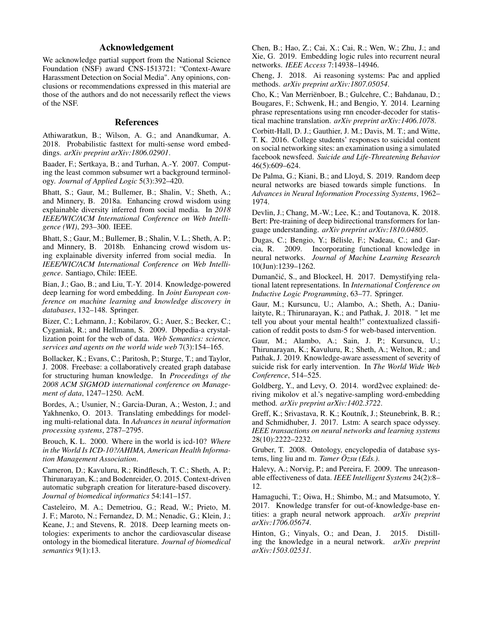# Acknowledgement

We acknowledge partial support from the National Science Foundation (NSF) award CNS-1513721: "Context-Aware Harassment Detection on Social Media". Any opinions, conclusions or recommendations expressed in this material are those of the authors and do not necessarily reflect the views of the NSF.

# References

Athiwaratkun, B.; Wilson, A. G.; and Anandkumar, A. 2018. Probabilistic fasttext for multi-sense word embeddings. *arXiv preprint arXiv:1806.02901*.

Baader, F.; Sertkaya, B.; and Turhan, A.-Y. 2007. Computing the least common subsumer wrt a background terminology. *Journal of Applied Logic* 5(3):392–420.

Bhatt, S.; Gaur, M.; Bullemer, B.; Shalin, V.; Sheth, A.; and Minnery, B. 2018a. Enhancing crowd wisdom using explainable diversity inferred from social media. In *2018 IEEE/WIC/ACM International Conference on Web Intelligence (WI)*, 293–300. IEEE.

Bhatt, S.; Gaur, M.; Bullemer, B.; Shalin, V. L.; Sheth, A. P.; and Minnery, B. 2018b. Enhancing crowd wisdom using explainable diversity inferred from social media. In *IEEE/WIC/ACM International Conference on Web Intelligence*. Santiago, Chile: IEEE.

Bian, J.; Gao, B.; and Liu, T.-Y. 2014. Knowledge-powered deep learning for word embedding. In *Joint European conference on machine learning and knowledge discovery in databases*, 132–148. Springer.

Bizer, C.; Lehmann, J.; Kobilarov, G.; Auer, S.; Becker, C.; Cyganiak, R.; and Hellmann, S. 2009. Dbpedia-a crystallization point for the web of data. *Web Semantics: science, services and agents on the world wide web* 7(3):154–165.

Bollacker, K.; Evans, C.; Paritosh, P.; Sturge, T.; and Taylor, J. 2008. Freebase: a collaboratively created graph database for structuring human knowledge. In *Proceedings of the 2008 ACM SIGMOD international conference on Management of data*, 1247–1250. AcM.

Bordes, A.; Usunier, N.; Garcia-Duran, A.; Weston, J.; and Yakhnenko, O. 2013. Translating embeddings for modeling multi-relational data. In *Advances in neural information processing systems*, 2787–2795.

Brouch, K. L. 2000. Where in the world is icd-10? *Where in the World Is ICD-10?/AHIMA, American Health Information Management Association*.

Cameron, D.; Kavuluru, R.; Rindflesch, T. C.; Sheth, A. P.; Thirunarayan, K.; and Bodenreider, O. 2015. Context-driven automatic subgraph creation for literature-based discovery. *Journal of biomedical informatics* 54:141–157.

Casteleiro, M. A.; Demetriou, G.; Read, W.; Prieto, M. J. F.; Maroto, N.; Fernandez, D. M.; Nenadic, G.; Klein, J.; Keane, J.; and Stevens, R. 2018. Deep learning meets ontologies: experiments to anchor the cardiovascular disease ontology in the biomedical literature. *Journal of biomedical semantics* 9(1):13.

Chen, B.; Hao, Z.; Cai, X.; Cai, R.; Wen, W.; Zhu, J.; and Xie, G. 2019. Embedding logic rules into recurrent neural networks. *IEEE Access* 7:14938–14946.

Cheng, J. 2018. Ai reasoning systems: Pac and applied methods. *arXiv preprint arXiv:1807.05054*.

Cho, K.; Van Merriënboer, B.; Gulcehre, C.; Bahdanau, D.; Bougares, F.; Schwenk, H.; and Bengio, Y. 2014. Learning phrase representations using rnn encoder-decoder for statistical machine translation. *arXiv preprint arXiv:1406.1078*.

Corbitt-Hall, D. J.; Gauthier, J. M.; Davis, M. T.; and Witte, T. K. 2016. College students' responses to suicidal content on social networking sites: an examination using a simulated facebook newsfeed. *Suicide and Life-Threatening Behavior* 46(5):609–624.

De Palma, G.; Kiani, B.; and Lloyd, S. 2019. Random deep neural networks are biased towards simple functions. In *Advances in Neural Information Processing Systems*, 1962– 1974.

Devlin, J.; Chang, M.-W.; Lee, K.; and Toutanova, K. 2018. Bert: Pre-training of deep bidirectional transformers for language understanding. *arXiv preprint arXiv:1810.04805*.

Dugas, C.; Bengio, Y.; Bélisle, F.; Nadeau, C.; and Garcia, R. 2009. Incorporating functional knowledge in neural networks. *Journal of Machine Learning Research* 10(Jun):1239–1262.

Dumančić, S., and Blockeel, H. 2017. Demystifying relational latent representations. In *International Conference on Inductive Logic Programming*, 63–77. Springer.

Gaur, M.; Kursuncu, U.; Alambo, A.; Sheth, A.; Daniulaityte, R.; Thirunarayan, K.; and Pathak, J. 2018. " let me tell you about your mental health!" contextualized classification of reddit posts to dsm-5 for web-based intervention.

Gaur, M.; Alambo, A.; Sain, J. P.; Kursuncu, U.; Thirunarayan, K.; Kavuluru, R.; Sheth, A.; Welton, R.; and Pathak, J. 2019. Knowledge-aware assessment of severity of suicide risk for early intervention. In *The World Wide Web Conference*, 514–525.

Goldberg, Y., and Levy, O. 2014. word2vec explained: deriving mikolov et al.'s negative-sampling word-embedding method. *arXiv preprint arXiv:1402.3722*.

Greff, K.; Srivastava, R. K.; Koutník, J.; Steunebrink, B. R.; and Schmidhuber, J. 2017. Lstm: A search space odyssey. *IEEE transactions on neural networks and learning systems* 28(10):2222–2232.

Gruber, T. 2008. Ontology, encyclopedia of database systems, ling liu and m. *Tamer Özsu (Eds.)*.

Halevy, A.; Norvig, P.; and Pereira, F. 2009. The unreasonable effectiveness of data. *IEEE Intelligent Systems* 24(2):8– 12.

Hamaguchi, T.; Oiwa, H.; Shimbo, M.; and Matsumoto, Y. 2017. Knowledge transfer for out-of-knowledge-base entities: a graph neural network approach. *arXiv preprint arXiv:1706.05674*.

Hinton, G.; Vinyals, O.; and Dean, J. 2015. Distilling the knowledge in a neural network. *arXiv preprint arXiv:1503.02531*.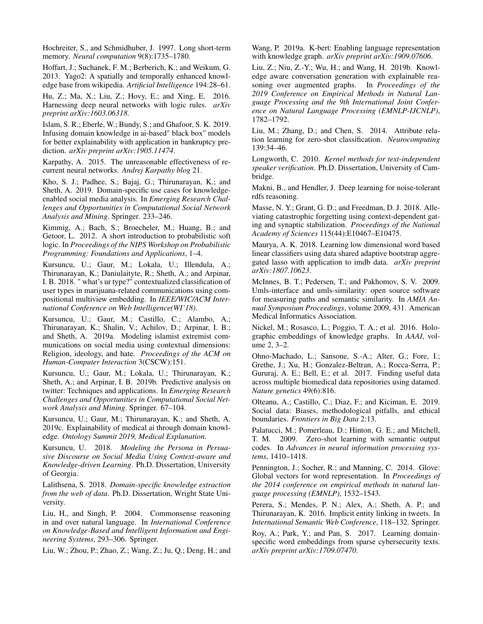Hochreiter, S., and Schmidhuber, J. 1997. Long short-term memory. *Neural computation* 9(8):1735–1780.

Hoffart, J.; Suchanek, F. M.; Berberich, K.; and Weikum, G. 2013. Yago2: A spatially and temporally enhanced knowledge base from wikipedia. *Artificial Intelligence* 194:28–61.

Hu, Z.; Ma, X.; Liu, Z.; Hovy, E.; and Xing, E. 2016. Harnessing deep neural networks with logic rules. *arXiv preprint arXiv:1603.06318*.

Islam, S. R.; Eberle, W.; Bundy, S.; and Ghafoor, S. K. 2019. Infusing domain knowledge in ai-based" black box" models for better explainability with application in bankruptcy prediction. *arXiv preprint arXiv:1905.11474*.

Karpathy, A. 2015. The unreasonable effectiveness of recurrent neural networks. *Andrej Karpathy blog* 21.

Kho, S. J.; Padhee, S.; Bajaj, G.; Thirunarayan, K.; and Sheth, A. 2019. Domain-specific use cases for knowledgeenabled social media analysis. In *Emerging Research Challenges and Opportunities in Computational Social Network Analysis and Mining*. Springer. 233–246.

Kimmig, A.; Bach, S.; Broecheler, M.; Huang, B.; and Getoor, L. 2012. A short introduction to probabilistic soft logic. In *Proceedings of the NIPS Workshop on Probabilistic Programming: Foundations and Applications*, 1–4.

Kursuncu, U.; Gaur, M.; Lokala, U.; Illendula, A.; Thirunarayan, K.; Daniulaityte, R.; Sheth, A.; and Arpinar, I. B. 2018. " what's ur type?" contextualized classification of user types in marijuana-related communications using compositional multiview embedding. In *IEEE/WIC/ACM International Conference on Web Intelligence(WI'18)*.

Kursuncu, U.; Gaur, M.; Castillo, C.; Alambo, A.; Thirunarayan, K.; Shalin, V.; Achilov, D.; Arpinar, I. B.; and Sheth, A. 2019a. Modeling islamist extremist communications on social media using contextual dimensions: Religion, ideology, and hate. *Proceedings of the ACM on Human-Computer Interaction* 3(CSCW):151.

Kursuncu, U.; Gaur, M.; Lokala, U.; Thirunarayan, K.; Sheth, A.; and Arpinar, I. B. 2019b. Predictive analysis on twitter: Techniques and applications. In *Emerging Research Challenges and Opportunities in Computational Social Network Analysis and Mining*. Springer. 67–104.

Kursuncu, U.; Gaur, M.; Thirunarayan, K.; and Sheth, A. 2019c. Explainability of medical ai through domain knowledge. *Ontology Summit 2019, Medical Explanation*.

Kursuncu, U. 2018. *Modeling the Persona in Persuasive Discourse on Social Media Using Context-aware and Knowledge-driven Learning*. Ph.D. Dissertation, University of Georgia.

Lalithsena, S. 2018. *Domain-specific knowledge extraction from the web of data*. Ph.D. Dissertation, Wright State University.

Liu, H., and Singh, P. 2004. Commonsense reasoning in and over natural language. In *International Conference on Knowledge-Based and Intelligent Information and Engineering Systems*, 293–306. Springer.

Liu, W.; Zhou, P.; Zhao, Z.; Wang, Z.; Ju, Q.; Deng, H.; and

Wang, P. 2019a. K-bert: Enabling language representation with knowledge graph. *arXiv preprint arXiv:1909.07606*.

Liu, Z.; Niu, Z.-Y.; Wu, H.; and Wang, H. 2019b. Knowledge aware conversation generation with explainable reasoning over augmented graphs. In *Proceedings of the 2019 Conference on Empirical Methods in Natural Language Processing and the 9th International Joint Conference on Natural Language Processing (EMNLP-IJCNLP)*, 1782–1792.

Liu, M.; Zhang, D.; and Chen, S. 2014. Attribute relation learning for zero-shot classification. *Neurocomputing* 139:34–46.

Longworth, C. 2010. *Kernel methods for text-independent speaker verification*. Ph.D. Dissertation, University of Cambridge.

Makni, B., and Hendler, J. Deep learning for noise-tolerant rdfs reasoning.

Masse, N. Y.; Grant, G. D.; and Freedman, D. J. 2018. Alleviating catastrophic forgetting using context-dependent gating and synaptic stabilization. *Proceedings of the National Academy of Sciences* 115(44):E10467–E10475.

Maurya, A. K. 2018. Learning low dimensional word based linear classifiers using data shared adaptive bootstrap aggregated lasso with application to imdb data. *arXiv preprint arXiv:1807.10623*.

McInnes, B. T.; Pedersen, T.; and Pakhomov, S. V. 2009. Umls-interface and umls-similarity: open source software for measuring paths and semantic similarity. In *AMIA Annual Symposium Proceedings*, volume 2009, 431. American Medical Informatics Association.

Nickel, M.; Rosasco, L.; Poggio, T. A.; et al. 2016. Holographic embeddings of knowledge graphs. In *AAAI*, volume 2, 3–2.

Ohno-Machado, L.; Sansone, S.-A.; Alter, G.; Fore, I.; Grethe, J.; Xu, H.; Gonzalez-Beltran, A.; Rocca-Serra, P.; Gururaj, A. E.; Bell, E.; et al. 2017. Finding useful data across multiple biomedical data repositories using datamed. *Nature genetics* 49(6):816.

Olteanu, A.; Castillo, C.; Diaz, F.; and Kiciman, E. 2019. Social data: Biases, methodological pitfalls, and ethical boundaries. *Frontiers in Big Data* 2:13.

Palatucci, M.; Pomerleau, D.; Hinton, G. E.; and Mitchell, T. M. 2009. Zero-shot learning with semantic output codes. In *Advances in neural information processing systems*, 1410–1418.

Pennington, J.; Socher, R.; and Manning, C. 2014. Glove: Global vectors for word representation. In *Proceedings of the 2014 conference on empirical methods in natural language processing (EMNLP)*, 1532–1543.

Perera, S.; Mendes, P. N.; Alex, A.; Sheth, A. P.; and Thirunarayan, K. 2016. Implicit entity linking in tweets. In *International Semantic Web Conference*, 118–132. Springer.

Roy, A.; Park, Y.; and Pan, S. 2017. Learning domainspecific word embeddings from sparse cybersecurity texts. *arXiv preprint arXiv:1709.07470*.